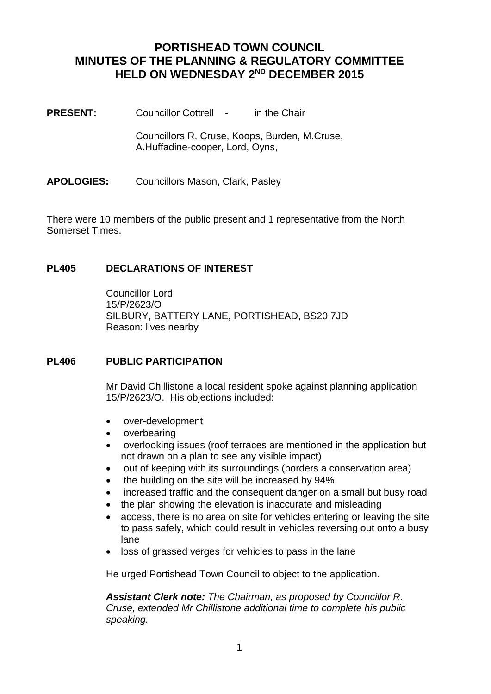# **PORTISHEAD TOWN COUNCIL MINUTES OF THE PLANNING & REGULATORY COMMITTEE HELD ON WEDNESDAY 2ND DECEMBER 2015**

**PRESENT:** Councillor Cottrell - in the Chair

Councillors R. Cruse, Koops, Burden, M.Cruse, A.Huffadine-cooper, Lord, Oyns,

**APOLOGIES:** Councillors Mason, Clark, Pasley

There were 10 members of the public present and 1 representative from the North Somerset Times.

# **PL405 DECLARATIONS OF INTEREST**

Councillor Lord 15/P/2623/O SILBURY, BATTERY LANE, PORTISHEAD, BS20 7JD Reason: lives nearby

### **PL406 PUBLIC PARTICIPATION**

Mr David Chillistone a local resident spoke against planning application 15/P/2623/O. His objections included:

- over-development
- overbearing
- overlooking issues (roof terraces are mentioned in the application but not drawn on a plan to see any visible impact)
- out of keeping with its surroundings (borders a conservation area)
- the building on the site will be increased by 94%
- increased traffic and the consequent danger on a small but busy road
- the plan showing the elevation is inaccurate and misleading
- access, there is no area on site for vehicles entering or leaving the site to pass safely, which could result in vehicles reversing out onto a busy lane
- loss of grassed verges for vehicles to pass in the lane

He urged Portishead Town Council to object to the application.

*Assistant Clerk note: The Chairman, as proposed by Councillor R. Cruse, extended Mr Chillistone additional time to complete his public speaking.*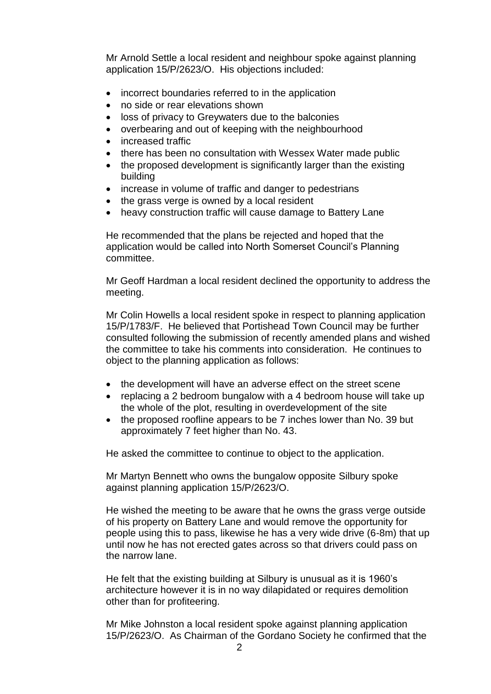Mr Arnold Settle a local resident and neighbour spoke against planning application 15/P/2623/O. His objections included:

- incorrect boundaries referred to in the application
- no side or rear elevations shown
- loss of privacy to Greywaters due to the balconies
- overbearing and out of keeping with the neighbourhood
- increased traffic
- there has been no consultation with Wessex Water made public
- the proposed development is significantly larger than the existing building
- increase in volume of traffic and danger to pedestrians
- the grass verge is owned by a local resident
- heavy construction traffic will cause damage to Battery Lane

He recommended that the plans be rejected and hoped that the application would be called into North Somerset Council's Planning committee.

Mr Geoff Hardman a local resident declined the opportunity to address the meeting.

Mr Colin Howells a local resident spoke in respect to planning application 15/P/1783/F. He believed that Portishead Town Council may be further consulted following the submission of recently amended plans and wished the committee to take his comments into consideration. He continues to object to the planning application as follows:

- the development will have an adverse effect on the street scene
- replacing a 2 bedroom bungalow with a 4 bedroom house will take up the whole of the plot, resulting in overdevelopment of the site
- the proposed roofline appears to be 7 inches lower than No. 39 but approximately 7 feet higher than No. 43.

He asked the committee to continue to object to the application.

Mr Martyn Bennett who owns the bungalow opposite Silbury spoke against planning application 15/P/2623/O.

He wished the meeting to be aware that he owns the grass verge outside of his property on Battery Lane and would remove the opportunity for people using this to pass, likewise he has a very wide drive (6-8m) that up until now he has not erected gates across so that drivers could pass on the narrow lane.

He felt that the existing building at Silbury is unusual as it is 1960's architecture however it is in no way dilapidated or requires demolition other than for profiteering.

Mr Mike Johnston a local resident spoke against planning application 15/P/2623/O. As Chairman of the Gordano Society he confirmed that the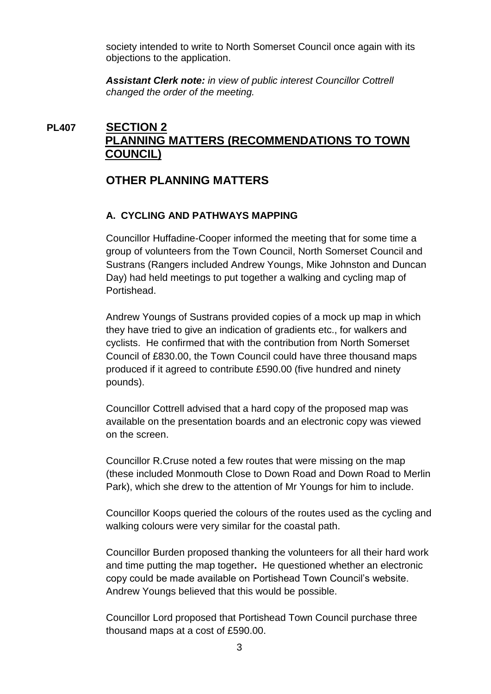society intended to write to North Somerset Council once again with its objections to the application.

*Assistant Clerk note: in view of public interest Councillor Cottrell changed the order of the meeting.*

# **PL407 SECTION 2 PLANNING MATTERS (RECOMMENDATIONS TO TOWN COUNCIL)**

# **OTHER PLANNING MATTERS**

# **A. CYCLING AND PATHWAYS MAPPING**

Councillor Huffadine-Cooper informed the meeting that for some time a group of volunteers from the Town Council, North Somerset Council and Sustrans (Rangers included Andrew Youngs, Mike Johnston and Duncan Day) had held meetings to put together a walking and cycling map of Portishead.

Andrew Youngs of Sustrans provided copies of a mock up map in which they have tried to give an indication of gradients etc., for walkers and cyclists. He confirmed that with the contribution from North Somerset Council of £830.00, the Town Council could have three thousand maps produced if it agreed to contribute £590.00 (five hundred and ninety pounds).

Councillor Cottrell advised that a hard copy of the proposed map was available on the presentation boards and an electronic copy was viewed on the screen.

Councillor R.Cruse noted a few routes that were missing on the map (these included Monmouth Close to Down Road and Down Road to Merlin Park), which she drew to the attention of Mr Youngs for him to include.

Councillor Koops queried the colours of the routes used as the cycling and walking colours were very similar for the coastal path.

Councillor Burden proposed thanking the volunteers for all their hard work and time putting the map together**.** He questioned whether an electronic copy could be made available on Portishead Town Council's website. Andrew Youngs believed that this would be possible.

Councillor Lord proposed that Portishead Town Council purchase three thousand maps at a cost of £590.00.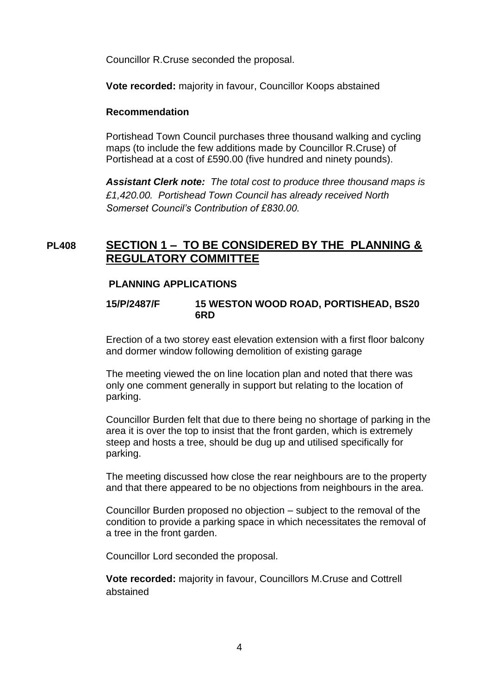Councillor R.Cruse seconded the proposal.

**Vote recorded:** majority in favour, Councillor Koops abstained

### **Recommendation**

Portishead Town Council purchases three thousand walking and cycling maps (to include the few additions made by Councillor R.Cruse) of Portishead at a cost of £590.00 (five hundred and ninety pounds).

*Assistant Clerk note: The total cost to produce three thousand maps is £1,420.00. Portishead Town Council has already received North Somerset Council's Contribution of £830.00.*

# **PL408 SECTION 1 – TO BE CONSIDERED BY THE PLANNING & REGULATORY COMMITTEE**

### **PLANNING APPLICATIONS**

**15/P/2487/F 15 WESTON WOOD ROAD, PORTISHEAD, BS20 6RD**

Erection of a two storey east elevation extension with a first floor balcony and dormer window following demolition of existing garage

The meeting viewed the on line location plan and noted that there was only one comment generally in support but relating to the location of parking.

Councillor Burden felt that due to there being no shortage of parking in the area it is over the top to insist that the front garden, which is extremely steep and hosts a tree, should be dug up and utilised specifically for parking.

The meeting discussed how close the rear neighbours are to the property and that there appeared to be no objections from neighbours in the area.

Councillor Burden proposed no objection – subject to the removal of the condition to provide a parking space in which necessitates the removal of a tree in the front garden.

Councillor Lord seconded the proposal.

**Vote recorded:** majority in favour, Councillors M.Cruse and Cottrell abstained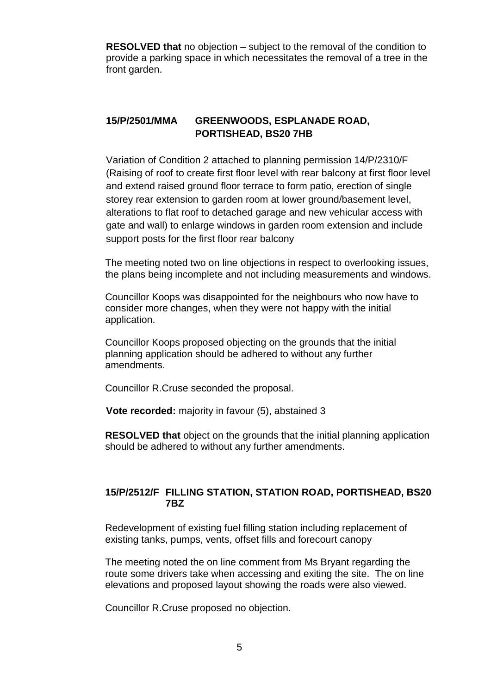**RESOLVED that** no objection – subject to the removal of the condition to provide a parking space in which necessitates the removal of a tree in the front garden.

# **15/P/2501/MMA GREENWOODS, ESPLANADE ROAD, PORTISHEAD, BS20 7HB**

Variation of Condition 2 attached to planning permission 14/P/2310/F (Raising of roof to create first floor level with rear balcony at first floor level and extend raised ground floor terrace to form patio, erection of single storey rear extension to garden room at lower ground/basement level, alterations to flat roof to detached garage and new vehicular access with gate and wall) to enlarge windows in garden room extension and include support posts for the first floor rear balcony

The meeting noted two on line objections in respect to overlooking issues, the plans being incomplete and not including measurements and windows.

Councillor Koops was disappointed for the neighbours who now have to consider more changes, when they were not happy with the initial application.

Councillor Koops proposed objecting on the grounds that the initial planning application should be adhered to without any further amendments.

Councillor R.Cruse seconded the proposal.

**Vote recorded:** majority in favour (5), abstained 3

**RESOLVED that** object on the grounds that the initial planning application should be adhered to without any further amendments.

### **15/P/2512/F FILLING STATION, STATION ROAD, PORTISHEAD, BS20 7BZ**

Redevelopment of existing fuel filling station including replacement of existing tanks, pumps, vents, offset fills and forecourt canopy

The meeting noted the on line comment from Ms Bryant regarding the route some drivers take when accessing and exiting the site. The on line elevations and proposed layout showing the roads were also viewed.

Councillor R.Cruse proposed no objection.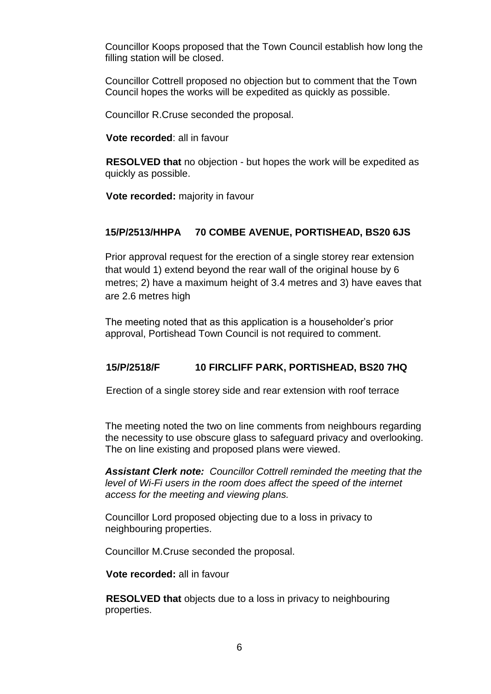Councillor Koops proposed that the Town Council establish how long the filling station will be closed.

Councillor Cottrell proposed no objection but to comment that the Town Council hopes the works will be expedited as quickly as possible.

Councillor R.Cruse seconded the proposal.

**Vote recorded**: all in favour

**RESOLVED that** no objection - but hopes the work will be expedited as quickly as possible.

**Vote recorded:** majority in favour

## **15/P/2513/HHPA 70 COMBE AVENUE, PORTISHEAD, BS20 6JS**

Prior approval request for the erection of a single storey rear extension that would 1) extend beyond the rear wall of the original house by 6 metres; 2) have a maximum height of 3.4 metres and 3) have eaves that are 2.6 metres high

The meeting noted that as this application is a householder's prior approval, Portishead Town Council is not required to comment.

# **15/P/2518/F 10 FIRCLIFF PARK, PORTISHEAD, BS20 7HQ**

Erection of a single storey side and rear extension with roof terrace

The meeting noted the two on line comments from neighbours regarding the necessity to use obscure glass to safeguard privacy and overlooking. The on line existing and proposed plans were viewed.

*Assistant Clerk note: Councillor Cottrell reminded the meeting that the level of Wi-Fi users in the room does affect the speed of the internet access for the meeting and viewing plans.*

Councillor Lord proposed objecting due to a loss in privacy to neighbouring properties.

Councillor M.Cruse seconded the proposal.

**Vote recorded:** all in favour

**RESOLVED that** objects due to a loss in privacy to neighbouring properties.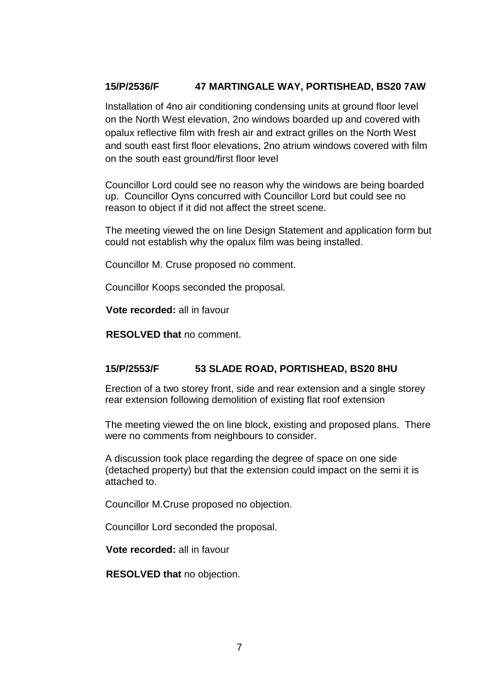# **15/P/2536/F 47 MARTINGALE WAY, PORTISHEAD, BS20 7AW**

Installation of 4no air conditioning condensing units at ground floor level on the North West elevation, 2no windows boarded up and covered with opalux reflective film with fresh air and extract grilles on the North West and south east first floor elevations, 2no atrium windows covered with film on the south east ground/first floor level

Councillor Lord could see no reason why the windows are being boarded up. Councillor Oyns concurred with Councillor Lord but could see no reason to object if it did not affect the street scene.

The meeting viewed the on line Design Statement and application form but could not establish why the opalux film was being installed.

Councillor M. Cruse proposed no comment.

Councillor Koops seconded the proposal.

**Vote recorded:** all in favour

**RESOLVED that** no comment.

# **15/P/2553/F 53 SLADE ROAD, PORTISHEAD, BS20 8HU**

Erection of a two storey front, side and rear extension and a single storey rear extension following demolition of existing flat roof extension

The meeting viewed the on line block, existing and proposed plans. There were no comments from neighbours to consider.

A discussion took place regarding the degree of space on one side (detached property) but that the extension could impact on the semi it is attached to.

Councillor M.Cruse proposed no objection.

Councillor Lord seconded the proposal.

**Vote recorded:** all in favour

**RESOLVED that** no objection.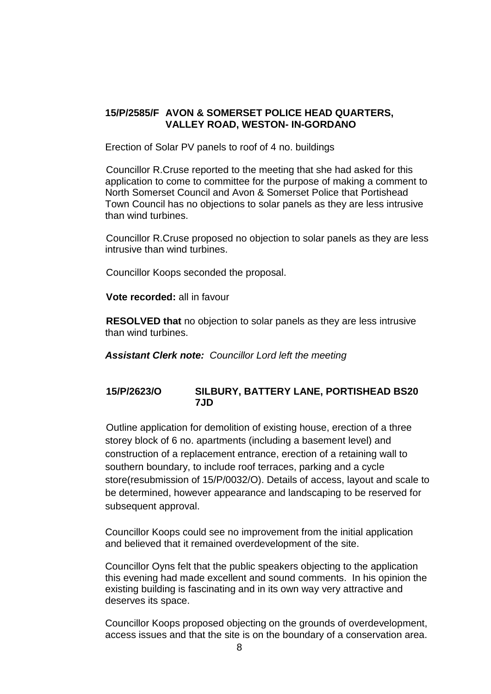### **15/P/2585/F AVON & SOMERSET POLICE HEAD QUARTERS, VALLEY ROAD, WESTON- IN-GORDANO**

Erection of Solar PV panels to roof of 4 no. buildings

Councillor R.Cruse reported to the meeting that she had asked for this application to come to committee for the purpose of making a comment to North Somerset Council and Avon & Somerset Police that Portishead Town Council has no objections to solar panels as they are less intrusive than wind turbines.

Councillor R.Cruse proposed no objection to solar panels as they are less intrusive than wind turbines.

Councillor Koops seconded the proposal.

**Vote recorded:** all in favour

**RESOLVED that** no objection to solar panels as they are less intrusive than wind turbines.

*Assistant Clerk note: Councillor Lord left the meeting*

## **15/P/2623/O SILBURY, BATTERY LANE, PORTISHEAD BS20 7JD**

Outline application for demolition of existing house, erection of a three storey block of 6 no. apartments (including a basement level) and construction of a replacement entrance, erection of a retaining wall to southern boundary, to include roof terraces, parking and a cycle store(resubmission of 15/P/0032/O). Details of access, layout and scale to be determined, however appearance and landscaping to be reserved for subsequent approval.

Councillor Koops could see no improvement from the initial application and believed that it remained overdevelopment of the site.

Councillor Oyns felt that the public speakers objecting to the application this evening had made excellent and sound comments. In his opinion the existing building is fascinating and in its own way very attractive and deserves its space.

Councillor Koops proposed objecting on the grounds of overdevelopment, access issues and that the site is on the boundary of a conservation area.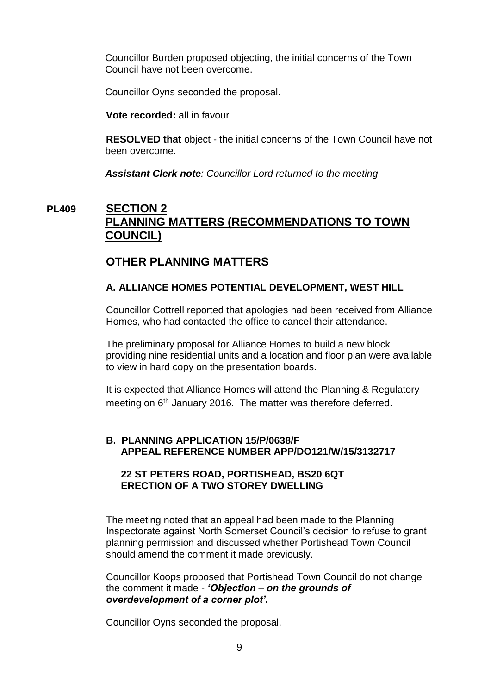Councillor Burden proposed objecting, the initial concerns of the Town Council have not been overcome.

Councillor Oyns seconded the proposal.

**Vote recorded:** all in favour

**RESOLVED that** object - the initial concerns of the Town Council have not been overcome.

*Assistant Clerk note: Councillor Lord returned to the meeting*

# **PL409 SECTION 2 PLANNING MATTERS (RECOMMENDATIONS TO TOWN COUNCIL)**

# **OTHER PLANNING MATTERS**

## **A. ALLIANCE HOMES POTENTIAL DEVELOPMENT, WEST HILL**

Councillor Cottrell reported that apologies had been received from Alliance Homes, who had contacted the office to cancel their attendance.

The preliminary proposal for Alliance Homes to build a new block providing nine residential units and a location and floor plan were available to view in hard copy on the presentation boards.

It is expected that Alliance Homes will attend the Planning & Regulatory meeting on 6<sup>th</sup> January 2016. The matter was therefore deferred.

### **B. PLANNING APPLICATION 15/P/0638/F APPEAL REFERENCE NUMBER APP/DO121/W/15/3132717**

## **22 ST PETERS ROAD, PORTISHEAD, BS20 6QT ERECTION OF A TWO STOREY DWELLING**

The meeting noted that an appeal had been made to the Planning Inspectorate against North Somerset Council's decision to refuse to grant planning permission and discussed whether Portishead Town Council should amend the comment it made previously.

Councillor Koops proposed that Portishead Town Council do not change the comment it made - *'Objection – on the grounds of overdevelopment of a corner plot'.*

Councillor Oyns seconded the proposal.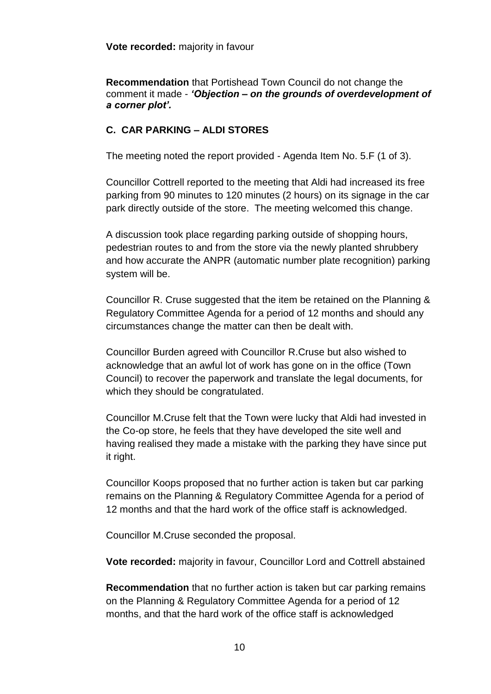**Recommendation** that Portishead Town Council do not change the comment it made - *'Objection – on the grounds of overdevelopment of a corner plot'.*

# **C. CAR PARKING – ALDI STORES**

The meeting noted the report provided - Agenda Item No. 5.F (1 of 3).

Councillor Cottrell reported to the meeting that Aldi had increased its free parking from 90 minutes to 120 minutes (2 hours) on its signage in the car park directly outside of the store. The meeting welcomed this change.

A discussion took place regarding parking outside of shopping hours, pedestrian routes to and from the store via the newly planted shrubbery and how accurate the ANPR (automatic number plate recognition) parking system will be.

Councillor R. Cruse suggested that the item be retained on the Planning & Regulatory Committee Agenda for a period of 12 months and should any circumstances change the matter can then be dealt with.

Councillor Burden agreed with Councillor R.Cruse but also wished to acknowledge that an awful lot of work has gone on in the office (Town Council) to recover the paperwork and translate the legal documents, for which they should be congratulated.

Councillor M.Cruse felt that the Town were lucky that Aldi had invested in the Co-op store, he feels that they have developed the site well and having realised they made a mistake with the parking they have since put it right.

Councillor Koops proposed that no further action is taken but car parking remains on the Planning & Regulatory Committee Agenda for a period of 12 months and that the hard work of the office staff is acknowledged.

Councillor M.Cruse seconded the proposal.

**Vote recorded:** majority in favour, Councillor Lord and Cottrell abstained

**Recommendation** that no further action is taken but car parking remains on the Planning & Regulatory Committee Agenda for a period of 12 months, and that the hard work of the office staff is acknowledged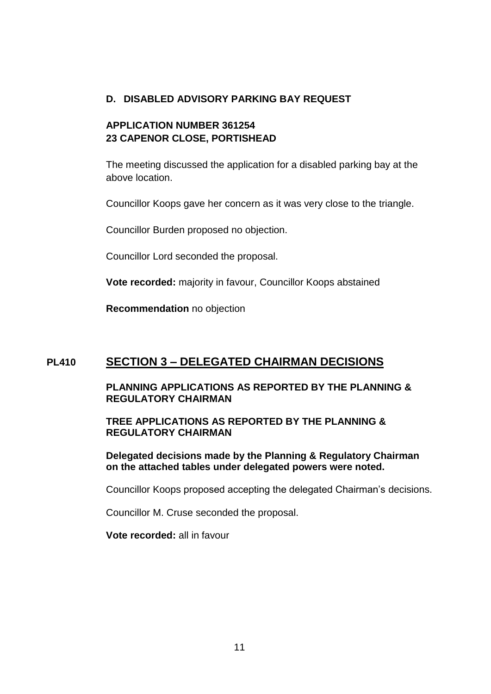## **D. DISABLED ADVISORY PARKING BAY REQUEST**

# **APPLICATION NUMBER 361254 23 CAPENOR CLOSE, PORTISHEAD**

The meeting discussed the application for a disabled parking bay at the above location.

Councillor Koops gave her concern as it was very close to the triangle.

Councillor Burden proposed no objection.

Councillor Lord seconded the proposal.

**Vote recorded:** majority in favour, Councillor Koops abstained

**Recommendation** no objection

# **PL410 SECTION 3 – DELEGATED CHAIRMAN DECISIONS**

### **PLANNING APPLICATIONS AS REPORTED BY THE PLANNING & REGULATORY CHAIRMAN**

**TREE APPLICATIONS AS REPORTED BY THE PLANNING & REGULATORY CHAIRMAN**

**Delegated decisions made by the Planning & Regulatory Chairman on the attached tables under delegated powers were noted.**

Councillor Koops proposed accepting the delegated Chairman's decisions.

Councillor M. Cruse seconded the proposal.

**Vote recorded:** all in favour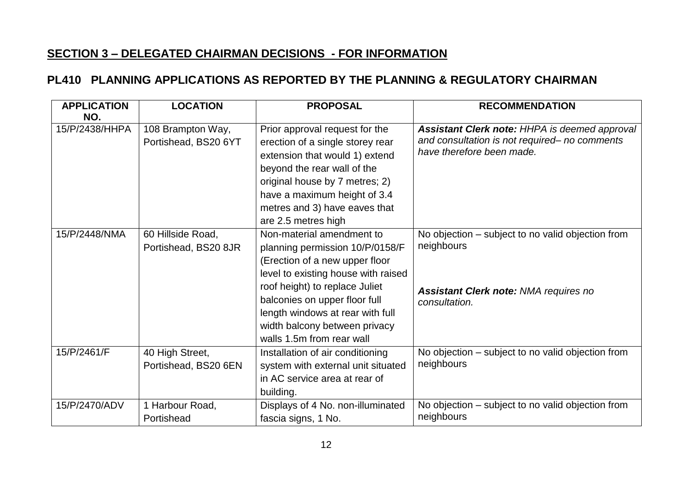# **SECTION 3 – DELEGATED CHAIRMAN DECISIONS - FOR INFORMATION**

# **PL410 PLANNING APPLICATIONS AS REPORTED BY THE PLANNING & REGULATORY CHAIRMAN**

| <b>APPLICATION</b><br>NO. | <b>LOCATION</b>                           | <b>PROPOSAL</b>                                                                                                                                                                                                                                                                                            | <b>RECOMMENDATION</b>                                                                                                              |
|---------------------------|-------------------------------------------|------------------------------------------------------------------------------------------------------------------------------------------------------------------------------------------------------------------------------------------------------------------------------------------------------------|------------------------------------------------------------------------------------------------------------------------------------|
| 15/P/2438/HHPA            | 108 Brampton Way,<br>Portishead, BS20 6YT | Prior approval request for the<br>erection of a single storey rear<br>extension that would 1) extend<br>beyond the rear wall of the<br>original house by 7 metres; 2)<br>have a maximum height of 3.4<br>metres and 3) have eaves that<br>are 2.5 metres high                                              | <b>Assistant Clerk note: HHPA is deemed approval</b><br>and consultation is not required- no comments<br>have therefore been made. |
| 15/P/2448/NMA             | 60 Hillside Road,<br>Portishead, BS20 8JR | Non-material amendment to<br>planning permission 10/P/0158/F<br>(Erection of a new upper floor<br>level to existing house with raised<br>roof height) to replace Juliet<br>balconies on upper floor full<br>length windows at rear with full<br>width balcony between privacy<br>walls 1.5m from rear wall | No objection – subject to no valid objection from<br>neighbours<br><b>Assistant Clerk note: NMA requires no</b><br>consultation.   |
| 15/P/2461/F               | 40 High Street,<br>Portishead, BS20 6EN   | Installation of air conditioning<br>system with external unit situated<br>in AC service area at rear of<br>building.                                                                                                                                                                                       | No objection – subject to no valid objection from<br>neighbours                                                                    |
| 15/P/2470/ADV             | 1 Harbour Road,<br>Portishead             | Displays of 4 No. non-illuminated<br>fascia signs, 1 No.                                                                                                                                                                                                                                                   | No objection – subject to no valid objection from<br>neighbours                                                                    |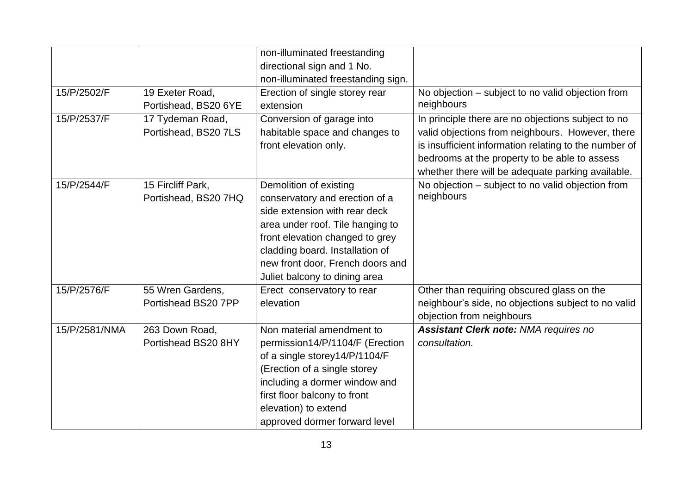|               |                                           | non-illuminated freestanding<br>directional sign and 1 No.<br>non-illuminated freestanding sign.                                                                                                                                                                         |                                                                                                                                                                                                                                                                       |
|---------------|-------------------------------------------|--------------------------------------------------------------------------------------------------------------------------------------------------------------------------------------------------------------------------------------------------------------------------|-----------------------------------------------------------------------------------------------------------------------------------------------------------------------------------------------------------------------------------------------------------------------|
| 15/P/2502/F   | 19 Exeter Road,<br>Portishead, BS20 6YE   | Erection of single storey rear<br>extension                                                                                                                                                                                                                              | No objection – subject to no valid objection from<br>neighbours                                                                                                                                                                                                       |
| 15/P/2537/F   | 17 Tydeman Road,<br>Portishead, BS20 7LS  | Conversion of garage into<br>habitable space and changes to<br>front elevation only.                                                                                                                                                                                     | In principle there are no objections subject to no<br>valid objections from neighbours. However, there<br>is insufficient information relating to the number of<br>bedrooms at the property to be able to assess<br>whether there will be adequate parking available. |
| 15/P/2544/F   | 15 Fircliff Park,<br>Portishead, BS20 7HQ | Demolition of existing<br>conservatory and erection of a<br>side extension with rear deck<br>area under roof. Tile hanging to<br>front elevation changed to grey<br>cladding board. Installation of<br>new front door, French doors and<br>Juliet balcony to dining area | No objection – subject to no valid objection from<br>neighbours                                                                                                                                                                                                       |
| 15/P/2576/F   | 55 Wren Gardens,<br>Portishead BS20 7PP   | Erect conservatory to rear<br>elevation                                                                                                                                                                                                                                  | Other than requiring obscured glass on the<br>neighbour's side, no objections subject to no valid<br>objection from neighbours                                                                                                                                        |
| 15/P/2581/NMA | 263 Down Road,<br>Portishead BS20 8HY     | Non material amendment to<br>permission14/P/1104/F (Erection<br>of a single storey14/P/1104/F<br>(Erection of a single storey<br>including a dormer window and<br>first floor balcony to front<br>elevation) to extend<br>approved dormer forward level                  | <b>Assistant Clerk note: NMA requires no</b><br>consultation.                                                                                                                                                                                                         |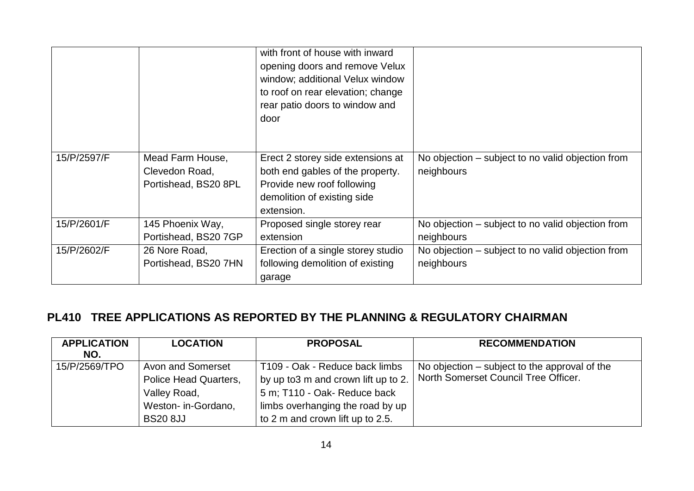|             |                      | with front of house with inward<br>opening doors and remove Velux<br>window; additional Velux window<br>to roof on rear elevation; change<br>rear patio doors to window and<br>door |                                                   |
|-------------|----------------------|-------------------------------------------------------------------------------------------------------------------------------------------------------------------------------------|---------------------------------------------------|
| 15/P/2597/F | Mead Farm House,     | Erect 2 storey side extensions at                                                                                                                                                   | No objection – subject to no valid objection from |
|             | Clevedon Road,       | both end gables of the property.                                                                                                                                                    | neighbours                                        |
|             | Portishead, BS20 8PL | Provide new roof following                                                                                                                                                          |                                                   |
|             |                      | demolition of existing side                                                                                                                                                         |                                                   |
|             |                      | extension.                                                                                                                                                                          |                                                   |
| 15/P/2601/F | 145 Phoenix Way,     | Proposed single storey rear                                                                                                                                                         | No objection – subject to no valid objection from |
|             | Portishead, BS20 7GP | extension                                                                                                                                                                           | neighbours                                        |
| 15/P/2602/F | 26 Nore Road,        | Erection of a single storey studio                                                                                                                                                  | No objection – subject to no valid objection from |
|             | Portishead, BS20 7HN | following demolition of existing                                                                                                                                                    | neighbours                                        |
|             |                      | garage                                                                                                                                                                              |                                                   |

# **PL410 TREE APPLICATIONS AS REPORTED BY THE PLANNING & REGULATORY CHAIRMAN**

| <b>APPLICATION</b><br>NO. | <b>LOCATION</b>                                            | <b>PROPOSAL</b>                                                                                        | <b>RECOMMENDATION</b>                                                                 |
|---------------------------|------------------------------------------------------------|--------------------------------------------------------------------------------------------------------|---------------------------------------------------------------------------------------|
| 15/P/2569/TPO             | Avon and Somerset<br>Police Head Quarters,<br>Valley Road, | T109 - Oak - Reduce back limbs<br>by up to 3 m and crown lift up to 2.<br>5 m; T110 - Oak- Reduce back | No objection – subject to the approval of the<br>North Somerset Council Tree Officer. |
|                           | Weston- in-Gordano,<br><b>BS20 8JJ</b>                     | limbs overhanging the road by up<br>to 2 m and crown lift up to 2.5.                                   |                                                                                       |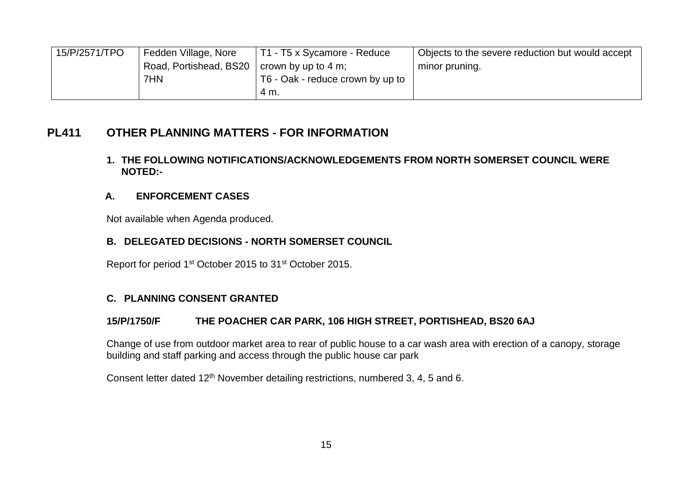| 15/P/2571/TPO | Fedden Village, Nore                         | T1 - T5 x Sycamore - Reduce      | Objects to the severe reduction but would accept |
|---------------|----------------------------------------------|----------------------------------|--------------------------------------------------|
|               | Road, Portishead, BS20   crown by up to 4 m; |                                  | minor pruning.                                   |
|               | 7HN                                          | T6 - Oak - reduce crown by up to |                                                  |
|               |                                              | 4 M.                             |                                                  |

# **PL411 OTHER PLANNING MATTERS - FOR INFORMATION**

### **1. THE FOLLOWING NOTIFICATIONS/ACKNOWLEDGEMENTS FROM NORTH SOMERSET COUNCIL WERE NOTED:-**

# **A. ENFORCEMENT CASES**

Not available when Agenda produced.

# **B. DELEGATED DECISIONS - NORTH SOMERSET COUNCIL**

Report for period 1st October 2015 to 31st October 2015.

# **C. PLANNING CONSENT GRANTED**

## **15/P/1750/F THE POACHER CAR PARK, 106 HIGH STREET, PORTISHEAD, BS20 6AJ**

Change of use from outdoor market area to rear of public house to a car wash area with erection of a canopy, storage building and staff parking and access through the public house car park

Consent letter dated 12<sup>th</sup> November detailing restrictions, numbered 3, 4, 5 and 6.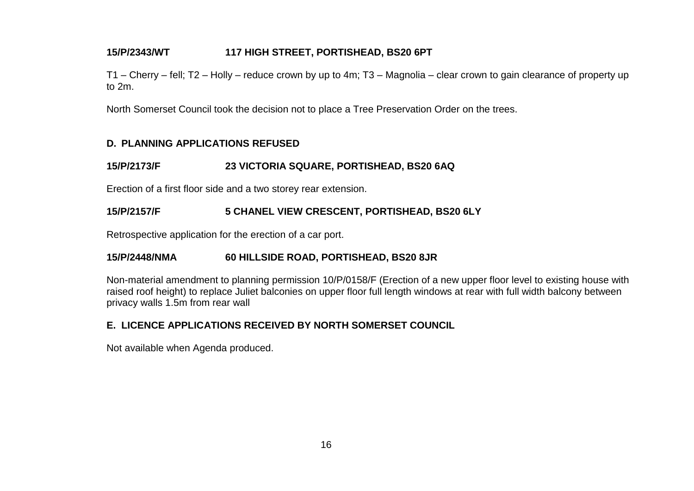## **15/P/2343/WT 117 HIGH STREET, PORTISHEAD, BS20 6PT**

T1 – Cherry – fell; T2 – Holly – reduce crown by up to 4m; T3 – Magnolia – clear crown to gain clearance of property up to 2m.

North Somerset Council took the decision not to place a Tree Preservation Order on the trees.

### **D. PLANNING APPLICATIONS REFUSED**

## **15/P/2173/F 23 VICTORIA SQUARE, PORTISHEAD, BS20 6AQ**

Erection of a first floor side and a two storey rear extension.

## **15/P/2157/F 5 CHANEL VIEW CRESCENT, PORTISHEAD, BS20 6LY**

Retrospective application for the erection of a car port.

### **15/P/2448/NMA 60 HILLSIDE ROAD, PORTISHEAD, BS20 8JR**

Non-material amendment to planning permission 10/P/0158/F (Erection of a new upper floor level to existing house with raised roof height) to replace Juliet balconies on upper floor full length windows at rear with full width balcony between privacy walls 1.5m from rear wall

## **E. LICENCE APPLICATIONS RECEIVED BY NORTH SOMERSET COUNCIL**

Not available when Agenda produced.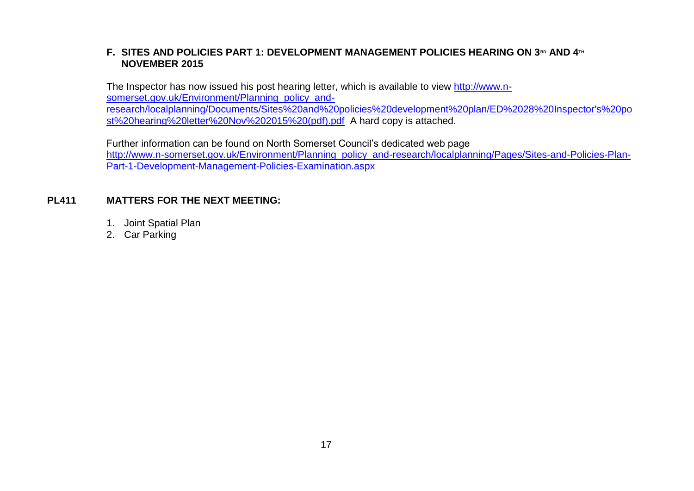# **F. SITES AND POLICIES PART 1: DEVELOPMENT MANAGEMENT POLICIES HEARING ON 3RD AND 4TH NOVEMBER 2015**

The Inspector has now issued his post hearing letter, which is available to view [http://www.n](http://www.n-somerset.gov.uk/Environment/Planning_policy_and-research/localplanning/Documents/Sites%20and%20policies%20development%20plan/ED%2028%20Inspector)[somerset.gov.uk/Environment/Planning\\_policy\\_and](http://www.n-somerset.gov.uk/Environment/Planning_policy_and-research/localplanning/Documents/Sites%20and%20policies%20development%20plan/ED%2028%20Inspector)[research/localplanning/Documents/Sites%20and%20policies%20development%20plan/ED%2028%20Inspector's%20po](http://www.n-somerset.gov.uk/Environment/Planning_policy_and-research/localplanning/Documents/Sites%20and%20policies%20development%20plan/ED%2028%20Inspector) [st%20hearing%20letter%20Nov%202015%20\(pdf\).pdf](http://www.n-somerset.gov.uk/Environment/Planning_policy_and-research/localplanning/Documents/Sites%20and%20policies%20development%20plan/ED%2028%20Inspector) A hard copy is attached.

Further information can be found on North Somerset Council's dedicated web page [http://www.n-somerset.gov.uk/Environment/Planning\\_policy\\_and-research/localplanning/Pages/Sites-and-Policies-Plan-](http://www.n-somerset.gov.uk/Environment/Planning_policy_and-research/localplanning/Pages/Sites-and-Policies-Plan-Part-1-Development-Management-Policies-Examination.aspx)[Part-1-Development-Management-Policies-Examination.aspx](http://www.n-somerset.gov.uk/Environment/Planning_policy_and-research/localplanning/Pages/Sites-and-Policies-Plan-Part-1-Development-Management-Policies-Examination.aspx)

### **PL411 MATTERS FOR THE NEXT MEETING:**

- 1. Joint Spatial Plan
- 2. Car Parking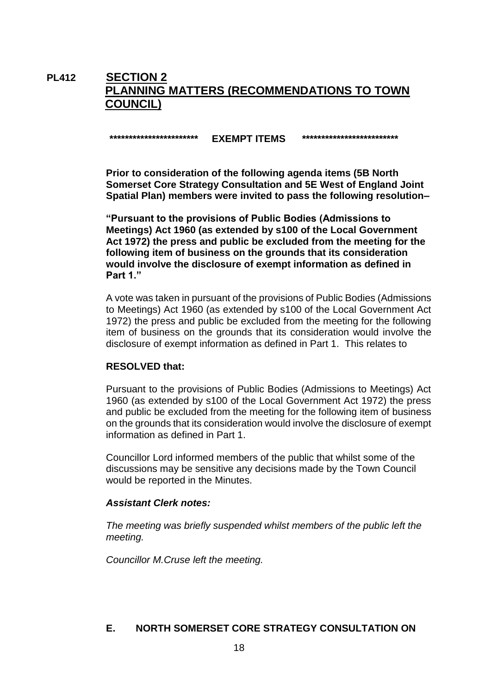# **PL412 SECTION 2 PLANNING MATTERS (RECOMMENDATIONS TO TOWN COUNCIL)**

### **\*\*\*\*\*\*\*\*\*\*\*\*\*\*\*\*\*\*\*\*\*\*\* EXEMPT ITEMS \*\*\*\*\*\*\*\*\*\*\*\*\*\*\*\*\*\*\*\*\*\*\*\*\***

**Prior to consideration of the following agenda items (5B North Somerset Core Strategy Consultation and 5E West of England Joint Spatial Plan) members were invited to pass the following resolution–**

**"Pursuant to the provisions of Public Bodies (Admissions to Meetings) Act 1960 (as extended by s100 of the Local Government Act 1972) the press and public be excluded from the meeting for the following item of business on the grounds that its consideration would involve the disclosure of exempt information as defined in Part 1."**

A vote was taken in pursuant of the provisions of Public Bodies (Admissions to Meetings) Act 1960 (as extended by s100 of the Local Government Act 1972) the press and public be excluded from the meeting for the following item of business on the grounds that its consideration would involve the disclosure of exempt information as defined in Part 1. This relates to

### **RESOLVED that:**

Pursuant to the provisions of Public Bodies (Admissions to Meetings) Act 1960 (as extended by s100 of the Local Government Act 1972) the press and public be excluded from the meeting for the following item of business on the grounds that its consideration would involve the disclosure of exempt information as defined in Part 1.

Councillor Lord informed members of the public that whilst some of the discussions may be sensitive any decisions made by the Town Council would be reported in the Minutes.

### *Assistant Clerk notes:*

*The meeting was briefly suspended whilst members of the public left the meeting.*

*Councillor M.Cruse left the meeting.*

### **E. NORTH SOMERSET CORE STRATEGY CONSULTATION ON**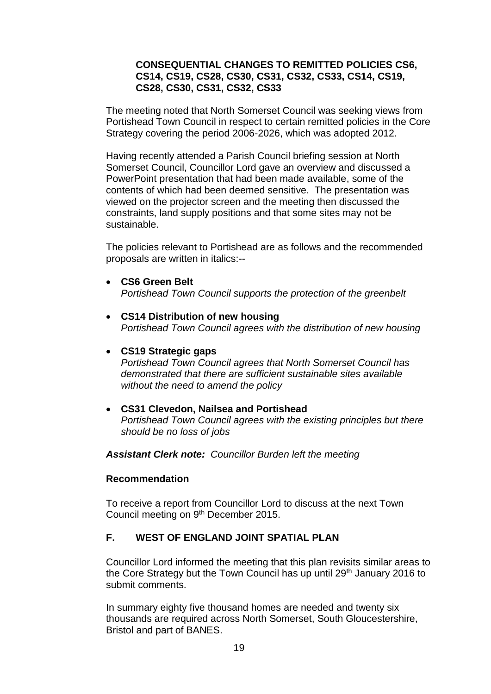### **CONSEQUENTIAL CHANGES TO REMITTED POLICIES CS6, CS14, CS19, CS28, CS30, CS31, CS32, CS33, CS14, CS19, CS28, CS30, CS31, CS32, CS33**

The meeting noted that North Somerset Council was seeking views from Portishead Town Council in respect to certain remitted policies in the Core Strategy covering the period 2006-2026, which was adopted 2012.

Having recently attended a Parish Council briefing session at North Somerset Council, Councillor Lord gave an overview and discussed a PowerPoint presentation that had been made available, some of the contents of which had been deemed sensitive. The presentation was viewed on the projector screen and the meeting then discussed the constraints, land supply positions and that some sites may not be sustainable.

The policies relevant to Portishead are as follows and the recommended proposals are written in italics:--

- **CS6 Green Belt** *Portishead Town Council supports the protection of the greenbelt*
- **CS14 Distribution of new housing** *Portishead Town Council agrees with the distribution of new housing*

### **CS19 Strategic gaps**

*Portishead Town Council agrees that North Somerset Council has demonstrated that there are sufficient sustainable sites available without the need to amend the policy* 

 **CS31 Clevedon, Nailsea and Portishead** *Portishead Town Council agrees with the existing principles but there should be no loss of jobs*

*Assistant Clerk note: Councillor Burden left the meeting*

### **Recommendation**

To receive a report from Councillor Lord to discuss at the next Town Council meeting on 9<sup>th</sup> December 2015.

# **F. WEST OF ENGLAND JOINT SPATIAL PLAN**

Councillor Lord informed the meeting that this plan revisits similar areas to the Core Strategy but the Town Council has up until 29<sup>th</sup> January 2016 to submit comments.

In summary eighty five thousand homes are needed and twenty six thousands are required across North Somerset, South Gloucestershire, Bristol and part of BANES.